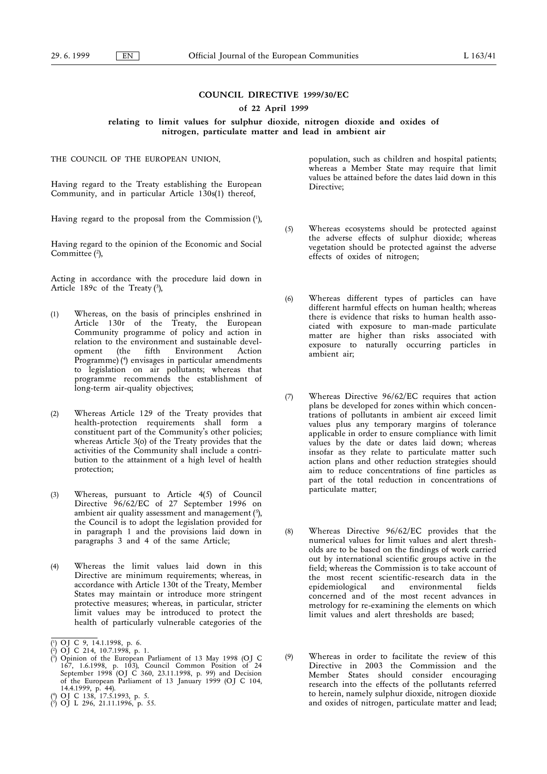# **COUNCIL DIRECTIVE 1999/30/EC**

## **of 22 April 1999**

**relating to limit values for sulphur dioxide, nitrogen dioxide and oxides of nitrogen, particulate matter and lead in ambient air**

THE COUNCIL OF THE EUROPEAN UNION,

Having regard to the Treaty establishing the European Community, and in particular Article 130s(1) thereof,

Having regard to the proposal from the Commission (1),

Having regard to the opinion of the Economic and Social Committee (2),

Acting in accordance with the procedure laid down in Article 189c of the Treaty (3),

- (1) Whereas, on the basis of principles enshrined in Article 130r of the Treaty, the European Community programme of policy and action in relation to the environment and sustainable devel-<br>opment (the fifth Environment Action opment (the fifth Environment Action Programme) (4) envisages in particular amendments to legislation on air pollutants; whereas that programme recommends the establishment of long-term air-quality objectives;
- (2) Whereas Article 129 of the Treaty provides that health-protection requirements shall form a constituent part of the Community's other policies; whereas Article 3(o) of the Treaty provides that the activities of the Community shall include a contribution to the attainment of a high level of health protection;
- (3) Whereas, pursuant to Article 4(5) of Council Directive 96/62/EC of 27 September 1996 on ambient air quality assessment and management  $(5)$ , the Council is to adopt the legislation provided for in paragraph 1 and the provisions laid down in paragraphs 3 and 4 of the same Article;
- (4) Whereas the limit values laid down in this Directive are minimum requirements; whereas, in accordance with Article 130t of the Treaty, Member States may maintain or introduce more stringent protective measures; whereas, in particular, stricter limit values may be introduced to protect the health of particularly vulnerable categories of the

- ( 4 ) OJ C 138, 17.5.1993, p. 5.
- ( 5 ) OJ L 296, 21.11.1996, p. 55.

population, such as children and hospital patients; whereas a Member State may require that limit values be attained before the dates laid down in this Directive;

- (5) Whereas ecosystems should be protected against the adverse effects of sulphur dioxide; whereas vegetation should be protected against the adverse effects of oxides of nitrogen;
- (6) Whereas different types of particles can have different harmful effects on human health; whereas there is evidence that risks to human health associated with exposure to man-made particulate matter are higher than risks associated with exposure to naturally occurring particles in ambient air;
- (7) Whereas Directive 96/62/EC requires that action plans be developed for zones within which concentrations of pollutants in ambient air exceed limit values plus any temporary margins of tolerance applicable in order to ensure compliance with limit values by the date or dates laid down; whereas insofar as they relate to particulate matter such action plans and other reduction strategies should aim to reduce concentrations of fine particles as part of the total reduction in concentrations of particulate matter;
- (8) Whereas Directive 96/62/EC provides that the numerical values for limit values and alert thresholds are to be based on the findings of work carried out by international scientific groups active in the field; whereas the Commission is to take account of the most recent scientific-research data in the<br>enidemiological and environmental fields epidemiological and environmental concerned and of the most recent advances in metrology for re-examining the elements on which limit values and alert thresholds are based;
- (9) Whereas in order to facilitate the review of this Directive in 2003 the Commission and the Member States should consider encouraging research into the effects of the pollutants referred to herein, namely sulphur dioxide, nitrogen dioxide and oxides of nitrogen, particulate matter and lead;

<sup>(</sup> 1 ) OJ C 9, 14.1.1998, p. 6.

<sup>(</sup> 2 ) OJ C 214, 10.7.1998, p. 1. ( 3 ) Opinion of the European Parliament of 13 May 1998 (OJ C 167, 1.6.1998, p. 103), Council Common Position of 24 September 1998 (OJ C 360, 23.11.1998, p. 99) and Decision of the European Parliament of 13 January 1999 (OJ C 104, 14.4.1999, p. 44).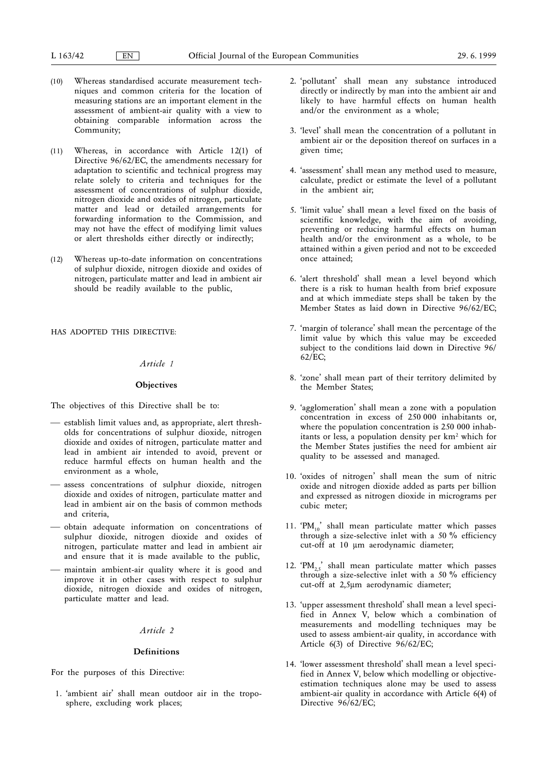- (10) Whereas standardised accurate measurement techniques and common criteria for the location of measuring stations are an important element in the assessment of ambient-air quality with a view to obtaining comparable information across the Community;
- (11) Whereas, in accordance with Article 12(1) of Directive 96/62/EC, the amendments necessary for adaptation to scientific and technical progress may relate solely to criteria and techniques for the assessment of concentrations of sulphur dioxide, nitrogen dioxide and oxides of nitrogen, particulate matter and lead or detailed arrangements for forwarding information to the Commission, and may not have the effect of modifying limit values or alert thresholds either directly or indirectly;
- (12) Whereas up-to-date information on concentrations of sulphur dioxide, nitrogen dioxide and oxides of nitrogen, particulate matter and lead in ambient air should be readily available to the public,

HAS ADOPTED THIS DIRECTIVE:

# *Article 1*

### **Objectives**

The objectives of this Directive shall be to:

- establish limit values and, as appropriate, alert thresholds for concentrations of sulphur dioxide, nitrogen dioxide and oxides of nitrogen, particulate matter and lead in ambient air intended to avoid, prevent or reduce harmful effects on human health and the environment as a whole,
- assess concentrations of sulphur dioxide, nitrogen dioxide and oxides of nitrogen, particulate matter and lead in ambient air on the basis of common methods and criteria,
- obtain adequate information on concentrations of sulphur dioxide, nitrogen dioxide and oxides of nitrogen, particulate matter and lead in ambient air and ensure that it is made available to the public,
- maintain ambient-air quality where it is good and improve it in other cases with respect to sulphur dioxide, nitrogen dioxide and oxides of nitrogen, particulate matter and lead.

# *Article 2*

### **Definitions**

For the purposes of this Directive:

1. 'ambient air' shall mean outdoor air in the troposphere, excluding work places;

- 2. 'pollutant' shall mean any substance introduced directly or indirectly by man into the ambient air and likely to have harmful effects on human health and/or the environment as a whole;
- 3. 'level' shall mean the concentration of a pollutant in ambient air or the deposition thereof on surfaces in a given time;
- 4. 'assessment' shall mean any method used to measure, calculate, predict or estimate the level of a pollutant in the ambient air;
- 5. 'limit value' shall mean a level fixed on the basis of scientific knowledge, with the aim of avoiding, preventing or reducing harmful effects on human health and/or the environment as a whole, to be attained within a given period and not to be exceeded once attained;
- 6. 'alert threshold' shall mean a level beyond which there is a risk to human health from brief exposure and at which immediate steps shall be taken by the Member States as laid down in Directive 96/62/EC;
- 7. 'margin of tolerance' shall mean the percentage of the limit value by which this value may be exceeded subject to the conditions laid down in Directive 96/ 62/EC;
- 8. 'zone' shall mean part of their territory delimited by the Member States;
- 9. 'agglomeration' shall mean a zone with a population concentration in excess of 250 000 inhabitants or, where the population concentration is 250 000 inhabitants or less, a population density per km<sup>2</sup> which for the Member States justifies the need for ambient air quality to be assessed and managed.
- 10. 'oxides of nitrogen' shall mean the sum of nitric oxide and nitrogen dioxide added as parts per billion and expressed as nitrogen dioxide in micrograms per cubic meter;
- 11. ' $PM_{10}$ ' shall mean particulate matter which passes through a size-selective inlet with a 50 % efficiency cut-off at 10 µm aerodynamic diameter;
- 12. 'PM<sub>25</sub>' shall mean particulate matter which passes through a size-selective inlet with a 50 % efficiency cut-off at 2,5µm aerodynamic diameter;
- 13. 'upper assessment threshold' shall mean a level specified in Annex V, below which a combination of measurements and modelling techniques may be used to assess ambient-air quality, in accordance with Article 6(3) of Directive 96/62/EC;
- 14. 'lower assessment threshold' shall mean a level specified in Annex V, below which modelling or objectiveestimation techniques alone may be used to assess ambient-air quality in accordance with Article 6(4) of Directive 96/62/EC;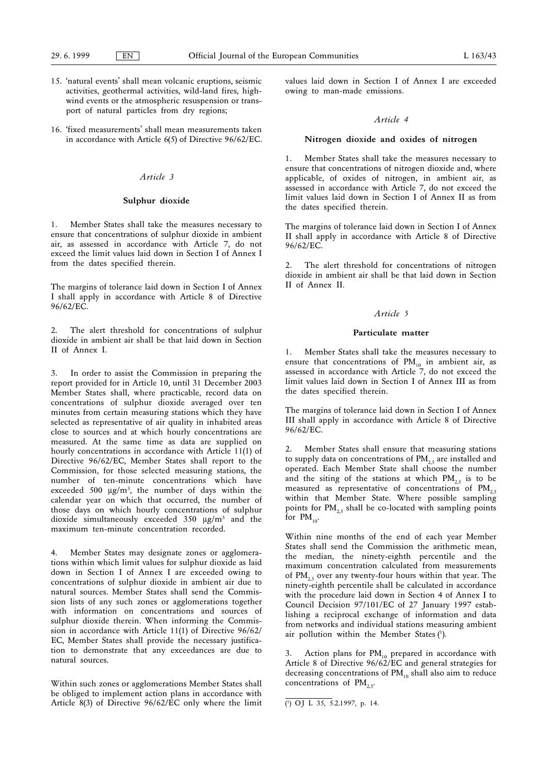- 15. 'natural events' shall mean volcanic eruptions, seismic activities, geothermal activities, wild-land fires, highwind events or the atmospheric resuspension or transport of natural particles from dry regions;
- 16. 'fixed measurements' shall mean measurements taken in accordance with Article 6(5) of Directive 96/62/EC.

## *Article 3*

#### **Sulphur dioxide**

1. Member States shall take the measures necessary to ensure that concentrations of sulphur dioxide in ambient air, as assessed in accordance with Article 7, do not exceed the limit values laid down in Section I of Annex I from the dates specified therein.

The margins of tolerance laid down in Section I of Annex I shall apply in accordance with Article 8 of Directive 96/62/EC.

2. The alert threshold for concentrations of sulphur dioxide in ambient air shall be that laid down in Section II of Annex I.

In order to assist the Commission in preparing the report provided for in Article 10, until 31 December 2003 Member States shall, where practicable, record data on concentrations of sulphur dioxide averaged over ten minutes from certain measuring stations which they have selected as representative of air quality in inhabited areas close to sources and at which hourly concentrations are measured. At the same time as data are supplied on hourly concentrations in accordance with Article 11(1) of Directive 96/62/EC, Member States shall report to the Commission, for those selected measuring stations, the number of ten-minute concentrations which have exceeded 500 µg/m3, the number of days within the calendar year on which that occurred, the number of those days on which hourly concentrations of sulphur dioxide simultaneously exceeded 350 µg/m3 and the maximum ten-minute concentration recorded.

4. Member States may designate zones or agglomerations within which limit values for sulphur dioxide as laid down in Section I of Annex I are exceeded owing to concentrations of sulphur dioxide in ambient air due to natural sources. Member States shall send the Commission lists of any such zones or agglomerations together with information on concentrations and sources of sulphur dioxide therein. When informing the Commission in accordance with Article 11(1) of Directive 96/62/ EC, Member States shall provide the necessary justification to demonstrate that any exceedances are due to natural sources.

Within such zones or agglomerations Member States shall be obliged to implement action plans in accordance with Article 8(3) of Directive 96/62/EC only where the limit values laid down in Section I of Annex I are exceeded owing to man-made emissions.

## *Article 4*

## **Nitrogen dioxide and oxides of nitrogen**

1. Member States shall take the measures necessary to ensure that concentrations of nitrogen dioxide and, where applicable, of oxides of nitrogen, in ambient air, as assessed in accordance with Article 7, do not exceed the limit values laid down in Section I of Annex II as from the dates specified therein.

The margins of tolerance laid down in Section I of Annex II shall apply in accordance with Article 8 of Directive 96/62/EC.

2. The alert threshold for concentrations of nitrogen dioxide in ambient air shall be that laid down in Section II of Annex II.

### *Article 5*

#### **Particulate matter**

1. Member States shall take the measures necessary to ensure that concentrations of  $PM_{10}$  in ambient air, as assessed in accordance with Article 7, do not exceed the limit values laid down in Section I of Annex III as from the dates specified therein.

The margins of tolerance laid down in Section I of Annex III shall apply in accordance with Article 8 of Directive 96/62/EC.

2. Member States shall ensure that measuring stations to supply data on concentrations of  $PM_{2,5}$  are installed and operated. Each Member State shall choose the number and the siting of the stations at which  $PM_{25}$  is to be measured as representative of concentrations of PM<sub>2</sub>, within that Member State. Where possible sampling points for  $PM_{25}$  shall be co-located with sampling points for  $PM_{10}$ .

Within nine months of the end of each year Member States shall send the Commission the arithmetic mean, the median, the ninety-eighth percentile and the maximum concentration calculated from measurements of PM<sub>25</sub> over any twenty-four hours within that year. The ninety-eighth percentile shall be calculated in accordance with the procedure laid down in Section 4 of Annex I to Council Decision 97/101/EC of 27 January 1997 establishing a reciprocal exchange of information and data from networks and individual stations measuring ambient air pollution within the Member States (1).

3. Action plans for  $PM_{10}$  prepared in accordance with Article 8 of Directive 96/62/EC and general strategies for decreasing concentrations of  $PM_{10}$  shall also aim to reduce concentrations of  $PM_{25}$ .

<sup>(</sup> 1) OJ L 35, 5.2.1997, p. 14.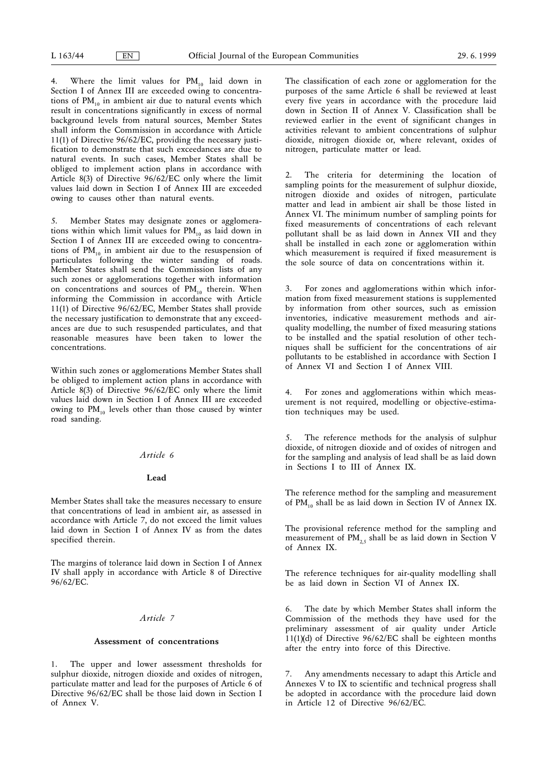4. Where the limit values for  $PM_{10}$  laid down in Section I of Annex III are exceeded owing to concentrations of  $PM_{10}$  in ambient air due to natural events which result in concentrations significantly in excess of normal background levels from natural sources, Member States shall inform the Commission in accordance with Article 11(1) of Directive 96/62/EC, providing the necessary justification to demonstrate that such exceedances are due to natural events. In such cases, Member States shall be obliged to implement action plans in accordance with Article 8(3) of Directive 96/62/EC only where the limit values laid down in Section I of Annex III are exceeded owing to causes other than natural events.

5. Member States may designate zones or agglomerations within which limit values for  $PM_{10}$  as laid down in Section I of Annex III are exceeded owing to concentrations of  $PM_{10}$  in ambient air due to the resuspension of particulates following the winter sanding of roads. Member States shall send the Commission lists of any such zones or agglomerations together with information on concentrations and sources of  $PM_{10}$  therein. When informing the Commission in accordance with Article 11(1) of Directive 96/62/EC, Member States shall provide the necessary justification to demonstrate that any exceedances are due to such resuspended particulates, and that reasonable measures have been taken to lower the concentrations.

Within such zones or agglomerations Member States shall be obliged to implement action plans in accordance with Article 8(3) of Directive 96/62/EC only where the limit values laid down in Section I of Annex III are exceeded owing to  $PM_{10}$  levels other than those caused by winter road sanding.

## *Article 6*

## **Lead**

Member States shall take the measures necessary to ensure that concentrations of lead in ambient air, as assessed in accordance with Article 7, do not exceed the limit values laid down in Section I of Annex IV as from the dates specified therein.

The margins of tolerance laid down in Section I of Annex IV shall apply in accordance with Article 8 of Directive 96/62/EC.

# *Article 7*

### **Assessment of concentrations**

The upper and lower assessment thresholds for sulphur dioxide, nitrogen dioxide and oxides of nitrogen, particulate matter and lead for the purposes of Article 6 of Directive 96/62/EC shall be those laid down in Section I of Annex V.

The classification of each zone or agglomeration for the purposes of the same Article 6 shall be reviewed at least every five years in accordance with the procedure laid down in Section II of Annex V. Classification shall be reviewed earlier in the event of significant changes in activities relevant to ambient concentrations of sulphur dioxide, nitrogen dioxide or, where relevant, oxides of nitrogen, particulate matter or lead.

2. The criteria for determining the location of sampling points for the measurement of sulphur dioxide, nitrogen dioxide and oxides of nitrogen, particulate matter and lead in ambient air shall be those listed in Annex VI. The minimum number of sampling points for fixed measurements of concentrations of each relevant pollutant shall be as laid down in Annex VII and they shall be installed in each zone or agglomeration within which measurement is required if fixed measurement is the sole source of data on concentrations within it.

3. For zones and agglomerations within which information from fixed measurement stations is supplemented by information from other sources, such as emission inventories, indicative measurement methods and airquality modelling, the number of fixed measuring stations to be installed and the spatial resolution of other techniques shall be sufficient for the concentrations of air pollutants to be established in accordance with Section I of Annex VI and Section I of Annex VIII.

4. For zones and agglomerations within which measurement is not required, modelling or objective-estimation techniques may be used.

5. The reference methods for the analysis of sulphur dioxide, of nitrogen dioxide and of oxides of nitrogen and for the sampling and analysis of lead shall be as laid down in Sections I to III of Annex IX.

The reference method for the sampling and measurement of PM<sub>10</sub> shall be as laid down in Section IV of Annex IX.

The provisional reference method for the sampling and measurement of  $PM<sub>25</sub>$  shall be as laid down in Section V of Annex IX.

The reference techniques for air-quality modelling shall be as laid down in Section VI of Annex IX.

6. The date by which Member States shall inform the Commission of the methods they have used for the preliminary assessment of air quality under Article 11(1)(d) of Directive 96/62/EC shall be eighteen months after the entry into force of this Directive.

7. Any amendments necessary to adapt this Article and Annexes V to IX to scientific and technical progress shall be adopted in accordance with the procedure laid down in Article 12 of Directive 96/62/EC.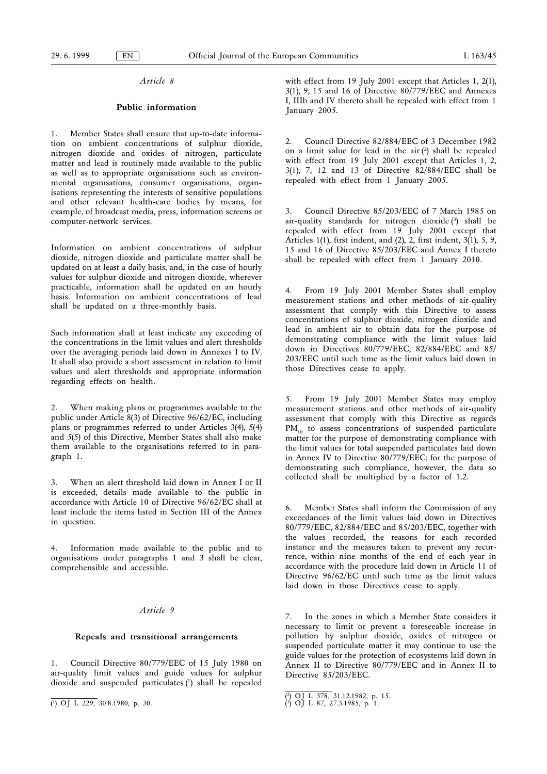# *Article 8*

# **Public information**

1. Member States shall ensure that up-to-date information on ambient concentrations of sulphur dioxide, nitrogen dioxide and oxides of nitrogen, particulate matter and lead is routinely made available to the public as well as to appropriate organisations such as environmental organisations, consumer organisations, organisations representing the interests of sensitive populations and other relevant health-care bodies by means, for example, of broadcast media, press, information screens or computer-network services.

Information on ambient concentrations of sulphur dioxide, nitrogen dioxide and particulate matter shall be updated on at least a daily basis, and, in the case of hourly values for sulphur dioxide and nitrogen dioxide, wherever practicable, information shall be updated on an hourly basis. Information on ambient concentrations of lead shall be updated on a three-monthly basis.

Such information shall at least indicate any exceeding of the concentrations in the limit values and alert thresholds over the averaging periods laid down in Annexes I to IV. It shall also provide a short assessment in relation to limit values and alert thresholds and appropriate information regarding effects on health.

When making plans or programmes available to the public under Article 8(3) of Directive 96/62/EC, including plans or programmes referred to under Articles 3(4), 5(4) and 5(5) of this Directive, Member States shall also make them available to the organisations referred to in paragraph 1.

3. When an alert threshold laid down in Annex I or II is exceeded, details made available to the public in accordance with Article 10 of Directive 96/62/EC shall at least include the items listed in Section III of the Annex in question.

4. Information made available to the public and to organisations under paragraphs 1 and 3 shall be clear, comprehensible and accessible.

# *Article 9*

## **Repeals and transitional arrangements**

1. Council Directive 80/779/EEC of 15 July 1980 on air-quality limit values and guide values for sulphur dioxide and suspended particulates (1 ) shall be repealed

with effect from 19 July 2001 except that Articles 1, 2(1), 3(1), 9, 15 and 16 of Directive 80/779/EEC and Annexes I, IIIb and IV thereto shall be repealed with effect from 1 January 2005.

2. Council Directive 82/884/EEC of 3 December 1982 on a limit value for lead in the air  $(2)$  shall be repealed with effect from 19 July 2001 except that Articles 1, 2, 3(1), 7, 12 and 13 of Directive 82/884/EEC shall be repealed with effect from 1 January 2005.

3. Council Directive 85/203/EEC of 7 March 1985 on air-quality standards for nitrogen dioxide (3) shall be repealed with effect from 19 July 2001 except that Articles 1(1), first indent, and (2), 2, first indent,  $3(1)$ , 5, 9, 15 and 16 of Directive 85/203/EEC and Annex I thereto shall be repealed with effect from 1 January 2010.

4. From 19 July 2001 Member States shall employ measurement stations and other methods of air-quality assessment that comply with this Directive to assess concentrations of sulphur dioxide, nitrogen dioxide and lead in ambient air to obtain data for the purpose of demonstrating compliance with the limit values laid down in Directives 80/779/EEC, 82/884/EEC and 85/ 203/EEC until such time as the limit values laid down in those Directives cease to apply.

5. From 19 July 2001 Member States may employ measurement stations and other methods of air-quality assessment that comply with this Directive as regards  $PM_{10}$  to assess concentrations of suspended particulate matter for the purpose of demonstrating compliance with the limit values for total suspended particulates laid down in Annex IV to Directive 80/779/EEC; for the purpose of demonstrating such compliance, however, the data so collected shall be multiplied by a factor of 1.2.

Member States shall inform the Commission of any exceedances of the limit values laid down in Directives 80/779/EEC, 82/884/EEC and 85/203/EEC, together with the values recorded, the reasons for each recorded instance and the measures taken to prevent any recurrence, within nine months of the end of each year in accordance with the procedure laid down in Article 11 of Directive 96/62/EC until such time as the limit values laid down in those Directives cease to apply.

7. In the zones in which a Member State considers it necessary to limit or prevent a foreseeable increase in pollution by sulphur dioxide, oxides of nitrogen or suspended particulate matter it may continue to use the guide values for the protection of ecosystems laid down in Annex II to Directive 80/779/EEC and in Annex II to Directive 85/203/EEC.

<sup>(</sup> $\vert$ ) OJ L 229, 30.8.1980, p. 30. (3)

<sup>(</sup> 2 ) OJ L 378, 31.12.1982, p. 15.

<sup>)</sup> OJ L 87, 27.3.1985, p. 1.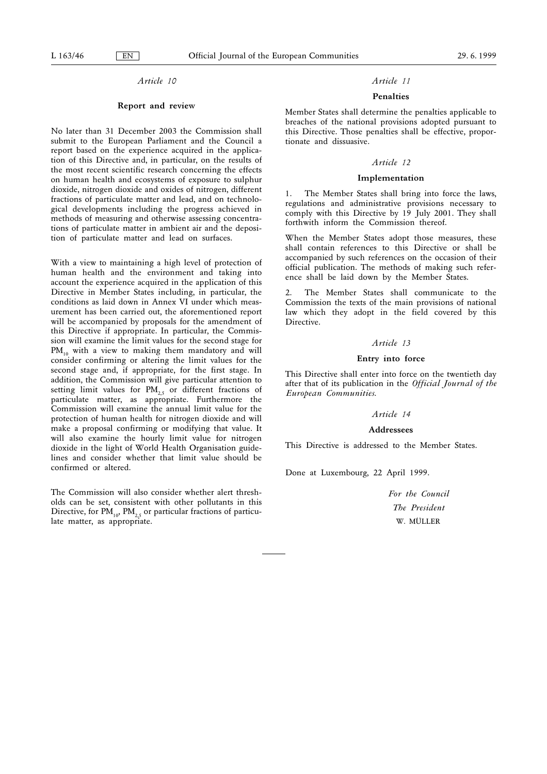# *Article 10*

## **Report and review**

No later than 31 December 2003 the Commission shall submit to the European Parliament and the Council a report based on the experience acquired in the application of this Directive and, in particular, on the results of the most recent scientific research concerning the effects on human health and ecosystems of exposure to sulphur dioxide, nitrogen dioxide and oxides of nitrogen, different fractions of particulate matter and lead, and on technological developments including the progress achieved in methods of measuring and otherwise assessing concentrations of particulate matter in ambient air and the deposition of particulate matter and lead on surfaces.

With a view to maintaining a high level of protection of human health and the environment and taking into account the experience acquired in the application of this Directive in Member States including, in particular, the conditions as laid down in Annex VI under which measurement has been carried out, the aforementioned report will be accompanied by proposals for the amendment of this Directive if appropriate. In particular, the Commission will examine the limit values for the second stage for  $PM_{10}$  with a view to making them mandatory and will consider confirming or altering the limit values for the second stage and, if appropriate, for the first stage. In addition, the Commission will give particular attention to setting limit values for  $PM_{2,5}$  or different fractions of particulate matter, as appropriate. Furthermore the Commission will examine the annual limit value for the protection of human health for nitrogen dioxide and will make a proposal confirming or modifying that value. It will also examine the hourly limit value for nitrogen dioxide in the light of World Health Organisation guidelines and consider whether that limit value should be confirmed or altered.

The Commission will also consider whether alert thresholds can be set, consistent with other pollutants in this Directive, for  $PM_{10}$ ,  $PM_{25}$  or particular fractions of particulate matter, as appropriate.

### *Article 11*

# **Penalties**

Member States shall determine the penalties applicable to breaches of the national provisions adopted pursuant to this Directive. Those penalties shall be effective, proportionate and dissuasive.

### *Article 12*

## **Implementation**

1. The Member States shall bring into force the laws, regulations and administrative provisions necessary to comply with this Directive by 19 July 2001. They shall forthwith inform the Commission thereof.

When the Member States adopt those measures, these shall contain references to this Directive or shall be accompanied by such references on the occasion of their official publication. The methods of making such reference shall be laid down by the Member States.

2. The Member States shall communicate to the Commission the texts of the main provisions of national law which they adopt in the field covered by this Directive.

#### *Article 13*

### **Entry into force**

This Directive shall enter into force on the twentieth day after that of its publication in the *Official Journal of the European Communities*.

### *Article 14*

#### **Addressees**

This Directive is addressed to the Member States.

Done at Luxembourg, 22 April 1999.

*For the Council The President* W. MÜLLER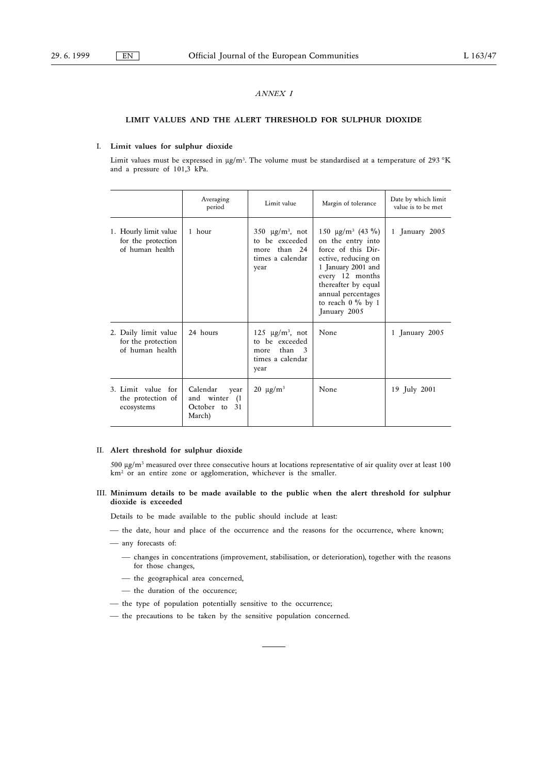# *ANNEX I*

## **LIMIT VALUES AND THE ALERT THRESHOLD FOR SULPHUR DIOXIDE**

#### I. **Limit values for sulphur dioxide**

Limit values must be expressed in  $\mu$ g/m<sup>3</sup>. The volume must be standardised at a temperature of 293 °K and a pressure of 101,3 kPa.

|                                                                | Averaging<br>period                                                 | Limit value                                                                                       | Margin of tolerance                                                                                                                                                                                                              | Date by which limit<br>value is to be met |
|----------------------------------------------------------------|---------------------------------------------------------------------|---------------------------------------------------------------------------------------------------|----------------------------------------------------------------------------------------------------------------------------------------------------------------------------------------------------------------------------------|-------------------------------------------|
| 1. Hourly limit value<br>for the protection<br>of human health | 1 hour                                                              | 350 $\mu$ g/m <sup>3</sup> , not<br>to be exceeded<br>than 24<br>more<br>times a calendar<br>year | 150 $\mu$ g/m <sup>3</sup> (43 %)<br>on the entry into<br>force of this Dir-<br>ective, reducing on<br>1 January 2001 and<br>every 12 months<br>thereafter by equal<br>annual percentages<br>to reach $0\%$ by 1<br>January 2005 | 1 January 2005                            |
| 2. Daily limit value<br>for the protection<br>of human health  | 24 hours                                                            | 125 $\mu$ g/m <sup>3</sup> , not<br>to be exceeded<br>than 3<br>more<br>times a calendar<br>year  | None                                                                                                                                                                                                                             | 1 January 2005                            |
| 3. Limit value for<br>the protection of<br>ecosystems          | Calendar<br>year<br>and winter<br>(1)<br>October to<br>31<br>March) | $20 \mu g/m^3$                                                                                    | None                                                                                                                                                                                                                             | 19 July 2001                              |

### II. **Alert threshold for sulphur dioxide**

500 µg/m3 measured over three consecutive hours at locations representative of air quality over at least 100 km2 or an entire zone or agglomeration, whichever is the smaller.

## III. **Minimum details to be made available to the public when the alert threshold for sulphur dioxide is exceeded**

Details to be made available to the public should include at least:

- the date, hour and place of the occurrence and the reasons for the occurrence, where known;
- any forecasts of:
	- changes in concentrations (improvement, stabilisation, or deterioration), together with the reasons for those changes,
	- the geographical area concerned,
	- the duration of the occurence;
- the type of population potentially sensitive to the occurrence;
- the precautions to be taken by the sensitive population concerned.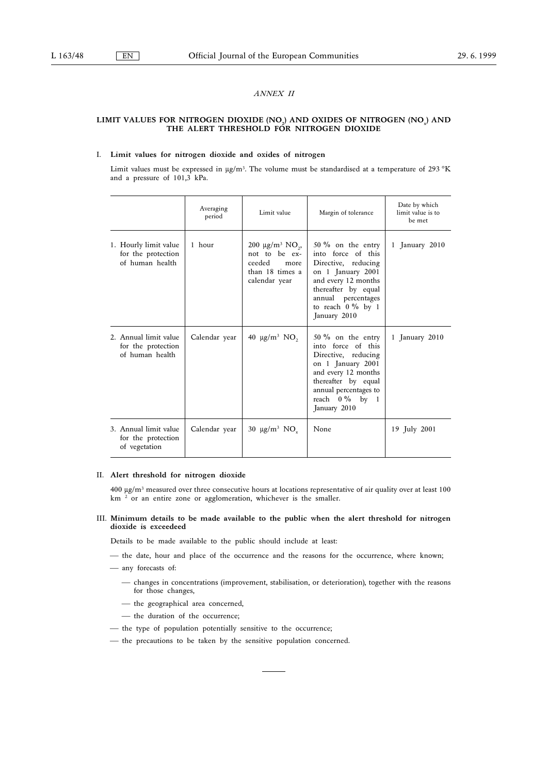### *ANNEX II*

### LIMIT VALUES FOR NITROGEN DIOXIDE (NO<sub>2</sub>) AND OXIDES OF NITROGEN (NO<sub>2</sub>) AND **THE ALERT THRESHOLD FOR NITROGEN DIOXIDE**

## I. **Limit values for nitrogen dioxide and oxides of nitrogen**

Limit values must be expressed in  $\mu$ g/m<sup>3</sup>. The volume must be standardised at a temperature of 293 °K and a pressure of 101,3 kPa.

|                                                                | Averaging<br>period | Limit value                                                                                                    | Margin of tolerance                                                                                                                                                                              | Date by which<br>limit value is to<br>be met |
|----------------------------------------------------------------|---------------------|----------------------------------------------------------------------------------------------------------------|--------------------------------------------------------------------------------------------------------------------------------------------------------------------------------------------------|----------------------------------------------|
| 1. Hourly limit value<br>for the protection<br>of human health | $1$ hour            | 200 μg/m <sup>3</sup> NO <sub>2</sub> ,<br>not to be ex-<br>ceeded<br>more<br>than 18 times a<br>calendar year | $50\%$ on the entry<br>into force of this<br>Directive, reducing<br>on 1 January 2001<br>and every 12 months<br>thereafter by equal<br>annual percentages<br>to reach $0\%$ by 1<br>January 2010 | January 2010<br>$\mathbf{1}$                 |
| 2. Annual limit value<br>for the protection<br>of human health | Calendar year       | 40 $\mu$ g/m <sup>3</sup> NO <sub>2</sub>                                                                      | $50\%$ on the entry<br>into force of this<br>Directive, reducing<br>on 1 January 2001<br>and every 12 months<br>thereafter by equal<br>annual percentages to<br>reach $0\%$ by 1<br>January 2010 | 1 January 2010                               |
| 3. Annual limit value<br>for the protection<br>of vegetation   | Calendar year       | 30 $\mu$ g/m <sup>3</sup> NO <sub>.</sub>                                                                      | None                                                                                                                                                                                             | 19 July 2001                                 |

### II. **Alert threshold for nitrogen dioxide**

400 µg/m3 measured over three consecutive hours at locations representative of air quality over at least 100  $km<sup>2</sup>$  or an entire zone or agglomeration, whichever is the smaller.

## III. **Minimum details to be made available to the public when the alert threshold for nitrogen dioxide is exceedeed**

Details to be made available to the public should include at least:

- the date, hour and place of the occurrence and the reasons for the occurrence, where known;
- any forecasts of:
	- changes in concentrations (improvement, stabilisation, or deterioration), together with the reasons for those changes,
	- the geographical area concerned,
	- the duration of the occurrence;
- the type of population potentially sensitive to the occurrence;
- the precautions to be taken by the sensitive population concerned.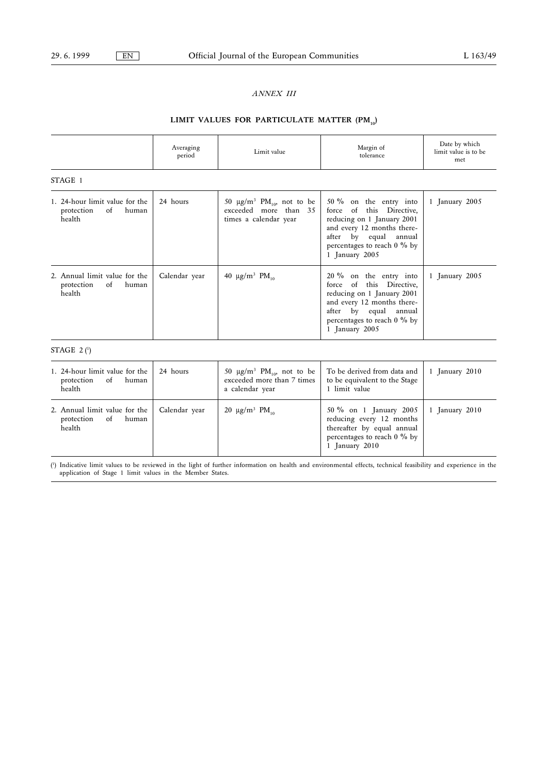# *ANNEX III*

# LIMIT VALUES FOR PARTICULATE MATTER (PM<sub>10</sub>)

|                                                                       | Averaging<br>period | Limit value                                                                                                 | Margin of<br>tolerance                                                                                                                                                                      | Date by which<br>limit value is to be<br>met |
|-----------------------------------------------------------------------|---------------------|-------------------------------------------------------------------------------------------------------------|---------------------------------------------------------------------------------------------------------------------------------------------------------------------------------------------|----------------------------------------------|
| STAGE 1                                                               |                     |                                                                                                             |                                                                                                                                                                                             |                                              |
| 1. 24-hour limit value for the<br>protection<br>of<br>human<br>health | 24 hours            | 50 $\mu$ g/m <sup>3</sup> PM <sub>10</sub> , not to be<br>exceeded more than<br>35<br>times a calendar year | 50 % on the entry into<br>force of<br>this Directive,<br>reducing on 1 January 2001<br>and every 12 months there-<br>after by equal annual<br>percentages to reach 0 % by<br>1 January 2005 | 1 January 2005                               |
| 2. Annual limit value for the<br>protection<br>of<br>human<br>health  | Calendar year       | 40 µg/m <sup>3</sup> PM <sub>10</sub>                                                                       | 20 % on the entry into<br>force of this Directive,<br>reducing on 1 January 2001<br>and every 12 months there-<br>after by equal annual<br>percentages to reach 0 % by<br>1 January 2005    | 1 January 2005                               |
| STAGE $2(^{1})$                                                       |                     |                                                                                                             |                                                                                                                                                                                             |                                              |
| 1. 24-hour limit value for the<br>protection<br>of<br>human<br>health | 24 hours            | 50 $\mu$ g/m <sup>3</sup> PM <sub>10</sub> , not to be<br>exceeded more than 7 times<br>a calendar year     | To be derived from data and<br>to be equivalent to the Stage<br>1 limit value                                                                                                               | 1 January 2010                               |
| 2. Annual limit value for the<br>protection<br>of<br>human<br>health  | Calendar year       | 20 $\mu$ g/m <sup>3</sup> PM <sub>10</sub>                                                                  | 50 % on 1 January 2005<br>reducing every 12 months<br>thereafter by equal annual<br>percentages to reach 0 % by<br>1 January 2010                                                           | 1 January 2010                               |

( 1 ) Indicative limit values to be reviewed in the light of further information on health and environmental effects, technical feasibility and experience in the application of Stage 1 limit values in the Member States.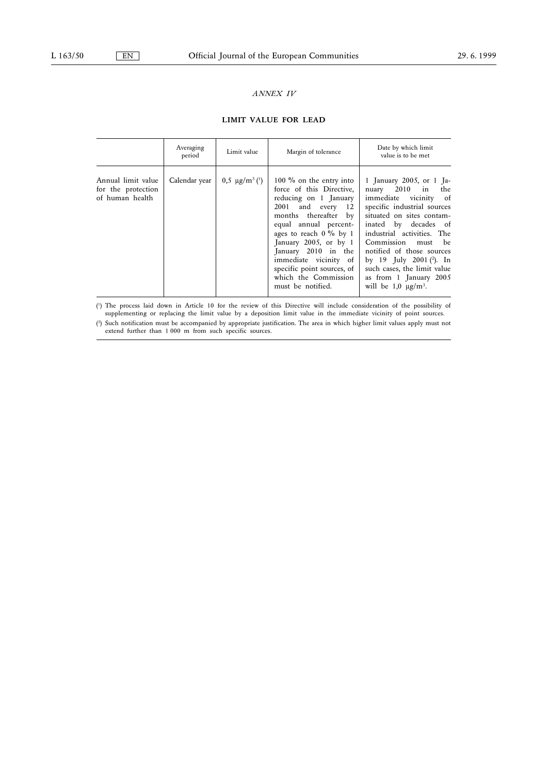# *ANNEX IV*

# **LIMIT VALUE FOR LEAD**

|                                                             | Averaging<br>period | Limit value                        | Margin of tolerance                                                                                                                                                                                                                                                                                                                      | Date by which limit<br>value is to be met                                                                                                                                                                                                                                                                                                                                 |
|-------------------------------------------------------------|---------------------|------------------------------------|------------------------------------------------------------------------------------------------------------------------------------------------------------------------------------------------------------------------------------------------------------------------------------------------------------------------------------------|---------------------------------------------------------------------------------------------------------------------------------------------------------------------------------------------------------------------------------------------------------------------------------------------------------------------------------------------------------------------------|
| Annual limit value<br>for the protection<br>of human health | Calendar year       | $0,5 \ \mu g/m^3$ ( <sup>1</sup> ) | 100 $\%$ on the entry into<br>force of this Directive,<br>reducing on 1 January<br>2001 and every 12<br>months thereafter by<br>equal annual percent-<br>ages to reach $0\%$ by 1<br>January $2005$ , or by 1<br>January 2010 in the<br>immediate vicinity of<br>specific point sources, of<br>which the Commission<br>must be notified. | 1 January 2005, or $1$ Ja-<br>nuary 2010 in<br>the<br>immediate vicinity of<br>specific industrial sources<br>situated on sites contam-<br>inated by decades of<br>industrial activities. The<br>Commission must be<br>notified of those sources<br>by 19 July 2001 $(2)$ . In<br>such cases, the limit value<br>as from 1 January 2005<br>will be $1.0 \text{ µg/m}^3$ . |

( 1 ) The process laid down in Article 10 for the review of this Directive will include consideration of the possibility of supplementing or replacing the limit value by a deposition limit value in the immediate vicinity of point sources.

( 2 ) Such notification must be accompanied by appropriate justification. The area in which higher limit values apply must not extend further than 1 000 m from such specific sources.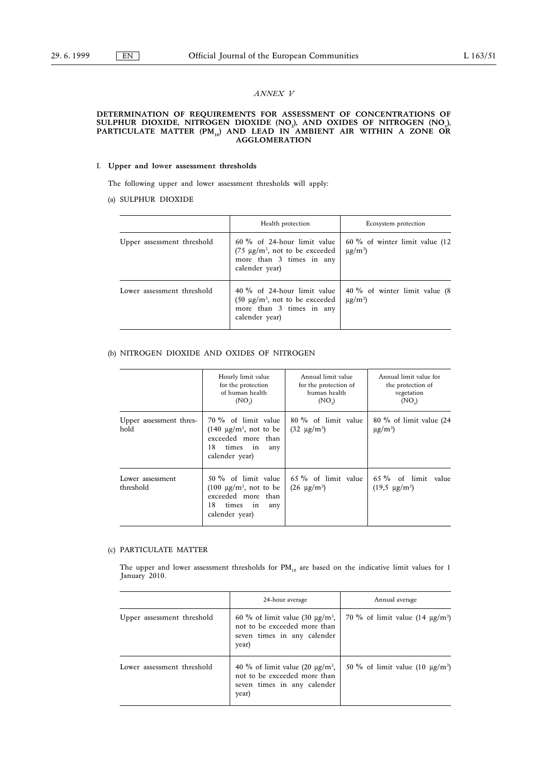## *ANNEX V*

### **DETERMINATION OF REQUIREMENTS FOR ASSESSMENT OF CONCENTRATIONS OF SULPHUR DIOXIDE, NITROGEN DIOXIDE (NO2 ), AND OXIDES OF NITROGEN (NOx), PARTICULATE MATTER (PM10) AND LEAD IN AMBIENT AIR WITHIN A ZONE OR AGGLOMERATION**

# I. **Upper and lower assessment thresholds**

The following upper and lower assessment thresholds will apply:

(a) SULPHUR DIOXIDE

|                            | Health protection                                                                                                                          | Ecosystem protection                                          |
|----------------------------|--------------------------------------------------------------------------------------------------------------------------------------------|---------------------------------------------------------------|
| Upper assessment threshold | $60\%$ of 24-hour limit value<br>$(75 \text{ µg/m}^3, \text{ not to be exceeded})$<br>more than 3 times in any<br>calender year)           | $60\%$ of winter limit value (12)<br>$\mu$ g/m <sup>3</sup> ) |
| Lower assessment threshold | 40 $\%$ of 24-hour limit value<br>$(50 \text{ }\mu\text{g/m}^3, \text{ not to be exceeded})$<br>more than 3 times in any<br>calender year) | 40 % of winter limit value (8)<br>$\mu$ g/m <sup>3</sup> )    |

## (b) NITROGEN DIOXIDE AND OXIDES OF NITROGEN

|                                 | Hourly limit value<br>for the protection<br>of human health<br>(NO <sub>2</sub> )                                                             | Annual limit value<br>for the protection of<br>human health<br>(NO <sub>2</sub> ) | Annual limit value for<br>the protection of<br>vegetation<br>(NO <sub>.)</sub> ) |
|---------------------------------|-----------------------------------------------------------------------------------------------------------------------------------------------|-----------------------------------------------------------------------------------|----------------------------------------------------------------------------------|
| Upper assessment thres-<br>hold | 70 % of limit value<br>$(140 \text{ µg/m}^3, \text{ not to be})$<br>exceeded more than<br>18<br>times<br>in<br>any<br>calender year)          | 80 % of limit value<br>$(32 \text{ µg/m}^3)$                                      | $80\%$ of limit value (24)<br>$\mu$ g/m <sup>3</sup> )                           |
| Lower assessment<br>threshold   | 50 % of limit value<br>$(100 \text{ }\mu\text{g/m}^3, \text{ not to be})$<br>exceeded more than<br>18<br>times<br>in<br>any<br>calender year) | 65 % of limit value<br>$(26 \text{ \mu g/m}^3)$                                   | 65 % of limit value<br>$(19.5 \text{ µg/m}^3)$                                   |

## (c) PARTICULATE MATTER

The upper and lower assessment thresholds for  $PM_{10}$  are based on the indicative limit values for 1 January 2010.

|                            | 24-hour average                                                                                                          | Annual average                                   |
|----------------------------|--------------------------------------------------------------------------------------------------------------------------|--------------------------------------------------|
| Upper assessment threshold | 60 % of limit value (30 $\mu$ g/m <sup>3</sup> ,<br>not to be exceeded more than<br>seven times in any calender<br>year) | 70 % of limit value $(14 \text{ µg/m}^3)$        |
| Lower assessment threshold | 40 % of limit value (20 $\mu$ g/m <sup>3</sup> ,<br>not to be exceeded more than<br>seven times in any calender<br>year) | 50 % of limit value (10 $\mu$ g/m <sup>3</sup> ) |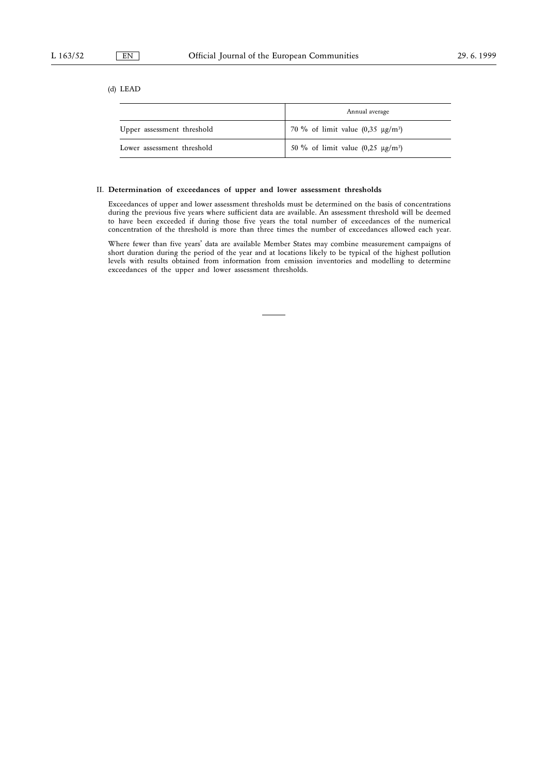# (d) LEAD

|                            | Annual average                                       |
|----------------------------|------------------------------------------------------|
| Upper assessment threshold | 70 % of limit value $(0,35 \text{ }\mu\text{g/m}^3)$ |
| Lower assessment threshold | 50 % of limit value $(0,25 \text{ µg/m}^3)$          |

### II. **Determination of exceedances of upper and lower assessment thresholds**

Exceedances of upper and lower assessment thresholds must be determined on the basis of concentrations during the previous five years where sufficient data are available. An assessment threshold will be deemed to have been exceeded if during those five years the total number of exceedances of the numerical concentration of the threshold is more than three times the number of exceedances allowed each year.

Where fewer than five years' data are available Member States may combine measurement campaigns of short duration during the period of the year and at locations likely to be typical of the highest pollution levels with results obtained from information from emission inventories and modelling to determine exceedances of the upper and lower assessment thresholds.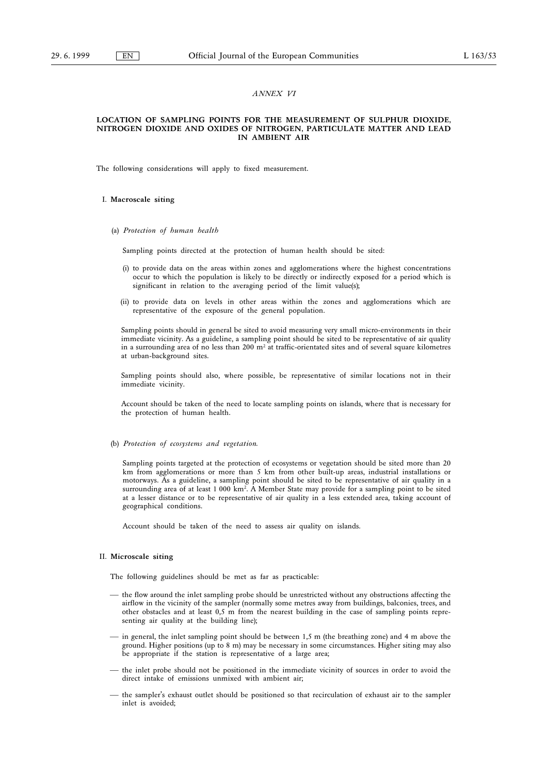#### *ANNEX VI*

### **LOCATION OF SAMPLING POINTS FOR THE MEASUREMENT OF SULPHUR DIOXIDE, NITROGEN DIOXIDE AND OXIDES OF NITROGEN, PARTICULATE MATTER AND LEAD IN AMBIENT AIR**

The following considerations will apply to fixed measurement.

### I. **Macroscale siting**

(a) *Protection of human health*

Sampling points directed at the protection of human health should be sited:

- (i) to provide data on the areas within zones and agglomerations where the highest concentrations occur to which the population is likely to be directly or indirectly exposed for a period which is significant in relation to the averaging period of the limit value(s);
- (ii) to provide data on levels in other areas within the zones and agglomerations which are representative of the exposure of the general population.

Sampling points should in general be sited to avoid measuring very small micro-environments in their immediate vicinity. As a guideline, a sampling point should be sited to be representative of air quality in a surrounding area of no less than  $200 \text{ m}^2$  at traffic-orientated sites and of several square kilometres at urban-background sites.

Sampling points should also, where possible, be representative of similar locations not in their immediate vicinity.

Account should be taken of the need to locate sampling points on islands, where that is necessary for the protection of human health.

(b) *Protection of ecosystems and vegetation.*

Sampling points targeted at the protection of ecosystems or vegetation should be sited more than 20 km from agglomerations or more than 5 km from other built-up areas, industrial installations or motorways. As a guideline, a sampling point should be sited to be representative of air quality in a surrounding area of at least 1 000 km<sup>2</sup>. A Member State may provide for a sampling point to be sited at a lesser distance or to be representative of air quality in a less extended area, taking account of geographical conditions.

Account should be taken of the need to assess air quality on islands.

### II. **Microscale siting**

The following guidelines should be met as far as practicable:

- the flow around the inlet sampling probe should be unrestricted without any obstructions affecting the airflow in the vicinity of the sampler (normally some metres away from buildings, balconies, trees, and other obstacles and at least 0,5 m from the nearest building in the case of sampling points representing air quality at the building line);
- in general, the inlet sampling point should be between 1,5 m (the breathing zone) and 4 m above the ground. Higher positions (up to 8 m) may be necessary in some circumstances. Higher siting may also be appropriate if the station is representative of a large area;
- the inlet probe should not be positioned in the immediate vicinity of sources in order to avoid the direct intake of emissions unmixed with ambient air;
- the sampler's exhaust outlet should be positioned so that recirculation of exhaust air to the sampler inlet is avoided;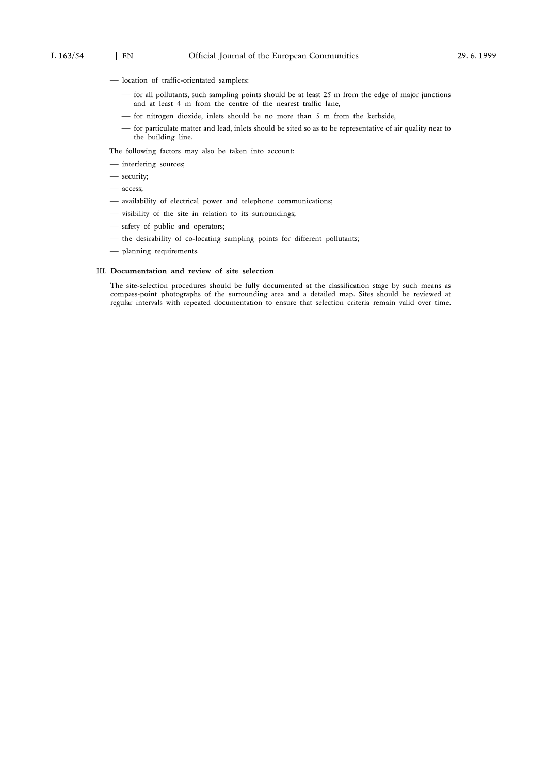- location of traffic-orientated samplers:
	- for all pollutants, such sampling points should be at least 25 m from the edge of major junctions and at least 4 m from the centre of the nearest traffic lane,
	- $f$  for nitrogen dioxide, inlets should be no more than 5 m from the kerbside,
	- for particulate matter and lead, inlets should be sited so as to be representative of air quality near to the building line.

The following factors may also be taken into account:

- interfering sources;
- security;
- access:
- availability of electrical power and telephone communications;
- visibility of the site in relation to its surroundings;
- safety of public and operators;
- the desirability of co-locating sampling points for different pollutants;
- planning requirements.

## III. **Documentation and review of site selection**

The site-selection procedures should be fully documented at the classification stage by such means as compass-point photographs of the surrounding area and a detailed map. Sites should be reviewed at regular intervals with repeated documentation to ensure that selection criteria remain valid over time.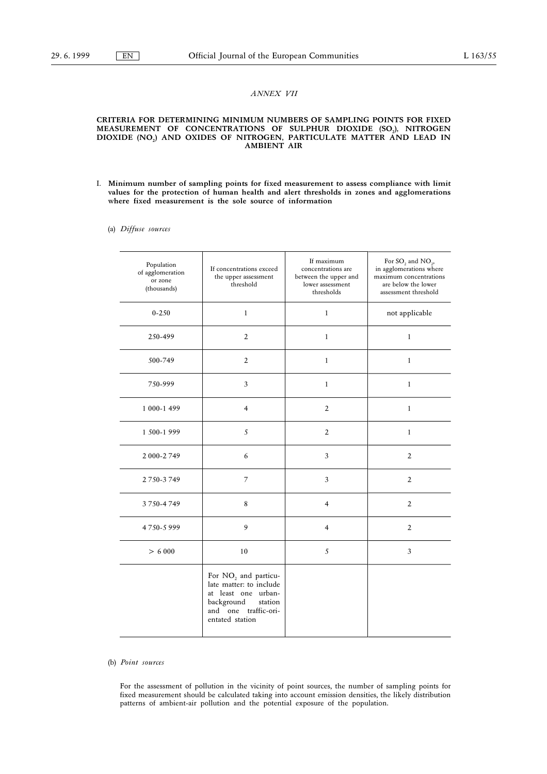## *ANNEX VII*

### **CRITERIA FOR DETERMINING MINIMUM NUMBERS OF SAMPLING POINTS FOR FIXED MEASUREMENT OF CONCENTRATIONS OF SULPHUR DIOXIDE (SO2), NITROGEN DIOXIDE (NO2 ) AND OXIDES OF NITROGEN, PARTICULATE MATTER AND LEAD IN AMBIENT AIR**

I. **Minimum number of sampling points for fixed measurement to assess compliance with limit values for the protection of human health and alert thresholds in zones and agglomerations where fixed measurement is the sole source of information**

(a) *Diffuse sources*

| Population<br>of agglomeration<br>or zone<br>(thousands) | If concentrations exceed<br>the upper assessment<br>threshold                                                                                | If maximum<br>concentrations are<br>between the upper and<br>lower assessment<br>thresholds | For $SO_2$ and $NO_2$ ,<br>in agglomerations where<br>maximum concentrations<br>are below the lower<br>assessment threshold |
|----------------------------------------------------------|----------------------------------------------------------------------------------------------------------------------------------------------|---------------------------------------------------------------------------------------------|-----------------------------------------------------------------------------------------------------------------------------|
| $0 - 250$                                                | $\mathbf{1}$                                                                                                                                 | $\mathbf{1}$                                                                                | not applicable                                                                                                              |
| 250-499                                                  | $\overline{2}$                                                                                                                               | $\mathbf{1}$                                                                                | $\mathbf{1}$                                                                                                                |
| 500-749                                                  | $\overline{2}$                                                                                                                               | 1                                                                                           | $\mathbf{1}$                                                                                                                |
| 750-999                                                  | 3                                                                                                                                            | $\mathbf{1}$                                                                                | $\mathbf{1}$                                                                                                                |
| 1 000-1 499                                              | $\overline{4}$                                                                                                                               | $\overline{2}$                                                                              | $\mathbf{1}$                                                                                                                |
| 1 500-1 999                                              | 5                                                                                                                                            | $\overline{2}$                                                                              | $\mathbf{1}$                                                                                                                |
| 2 000-2 749                                              | 6                                                                                                                                            | 3                                                                                           | $\overline{2}$                                                                                                              |
| 2750-3749                                                | 7                                                                                                                                            | 3                                                                                           | $\overline{2}$                                                                                                              |
| 3750-4749                                                | 8                                                                                                                                            | $\overline{4}$                                                                              | $\overline{2}$                                                                                                              |
| 4750-5999                                                | 9                                                                                                                                            | $\overline{4}$                                                                              | $\overline{2}$                                                                                                              |
| > 6000                                                   | 10                                                                                                                                           | 5                                                                                           | 3                                                                                                                           |
|                                                          | For $NO2$ and particu-<br>late matter: to include<br>at least one urban-<br>background<br>station<br>and one traffic-ori-<br>entated station |                                                                                             |                                                                                                                             |

## (b) *Point sources*

For the assessment of pollution in the vicinity of point sources, the number of sampling points for fixed measurement should be calculated taking into account emission densities, the likely distribution patterns of ambient-air pollution and the potential exposure of the population.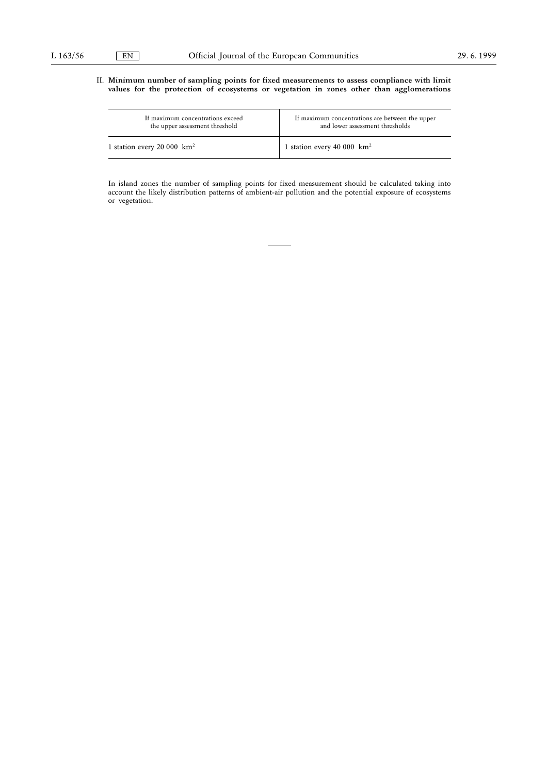#### II. **Minimum number of sampling points for fixed measurements to assess compliance with limit values for the protection of ecosystems or vegetation in zones other than agglomerations**

| If maximum concentrations exceed  | If maximum concentrations are between the upper |
|-----------------------------------|-------------------------------------------------|
| the upper assessment threshold    | and lower assessment thresholds                 |
| 1 station every 20 000 $\rm km^2$ | 1 station every 40 000 $\rm km^2$               |

In island zones the number of sampling points for fixed measurement should be calculated taking into account the likely distribution patterns of ambient-air pollution and the potential exposure of ecosystems or vegetation.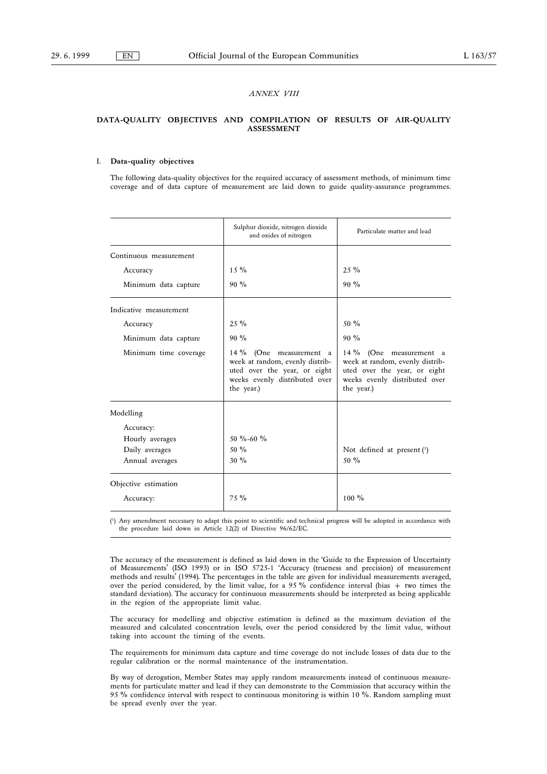## *ANNEX VIII*

## **DATA-QUALITY OBJECTIVES AND COMPILATION OF RESULTS OF AIR-QUALITY ASSESSMENT**

### I. **Data-quality objectives**

The following data-quality objectives for the required accuracy of assessment methods, of minimum time coverage and of data capture of measurement are laid down to guide quality-assurance programmes.

|                        | Sulphur dioxide, nitrogen dioxide<br>and oxides of nitrogen                                                                               | Particulate matter and lead                                                                                                               |
|------------------------|-------------------------------------------------------------------------------------------------------------------------------------------|-------------------------------------------------------------------------------------------------------------------------------------------|
| Continuous measurement |                                                                                                                                           |                                                                                                                                           |
| Accuracy               | $15\%$                                                                                                                                    | $25\%$                                                                                                                                    |
| Minimum data capture   | $90\%$                                                                                                                                    | $90\%$                                                                                                                                    |
| Indicative measurement |                                                                                                                                           |                                                                                                                                           |
| Accuracy               | $25\%$                                                                                                                                    | 50 %                                                                                                                                      |
| Minimum data capture   | $90\%$                                                                                                                                    | $90\%$                                                                                                                                    |
| Minimum time coverage  | 14 % (One measurement a<br>week at random, evenly distrib-<br>uted over the year, or eight<br>weeks evenly distributed over<br>the year.) | 14 % (One measurement a<br>week at random, evenly distrib-<br>uted over the year, or eight<br>weeks evenly distributed over<br>the year.) |
| Modelling              |                                                                                                                                           |                                                                                                                                           |
| Accuracy:              |                                                                                                                                           |                                                                                                                                           |
| Hourly averages        | $50\% - 60\%$                                                                                                                             |                                                                                                                                           |
| Daily averages         | $50\%$                                                                                                                                    | Not defined at present $(1)$                                                                                                              |
| Annual averages        | $30\%$                                                                                                                                    | $50\%$                                                                                                                                    |
| Objective estimation   |                                                                                                                                           |                                                                                                                                           |
| Accuracy:              | $75\%$                                                                                                                                    | $100\%$                                                                                                                                   |

( 1) Any amendment necessary to adapt this point to scientific and technical progress will be adopted in accordance with the procedure laid down in Article 12(2) of Directive 96/62/EC.

The accuracy of the measurement is defined as laid down in the 'Guide to the Expression of Uncertainty of Measurements' (ISO 1993) or in ISO 5725-1 'Accuracy (trueness and precision) of measurement methods and results' (1994). The percentages in the table are given for individual measurements averaged, over the period considered, by the limit value, for a 95 % confidence interval (bias + two times the standard deviation). The accuracy for continuous measurements should be interpreted as being applicable in the region of the appropriate limit value.

The accuracy for modelling and objective estimation is defined as the maximum deviation of the measured and calculated concentration levels, over the period considered by the limit value, without taking into account the timing of the events.

The requirements for minimum data capture and time coverage do not include losses of data due to the regular calibration or the normal maintenance of the instrumentation.

By way of derogation, Member States may apply random measurements instead of continuous measurements for particulate matter and lead if they can demonstrate to the Commission that accuracy within the 95 % confidence interval with respect to continuous monitoring is within 10 %. Random sampling must be spread evenly over the year.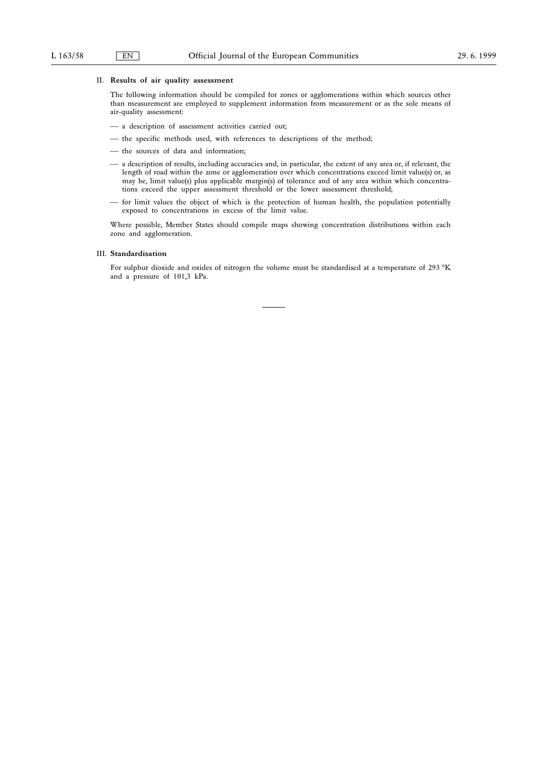### II. **Results of air quality assessment**

The following information should be compiled for zones or agglomerations within which sources other than measurement are employed to supplement information from measurement or as the sole means of air-quality assessment:

- a description of assessment activities carried out;
- the specific methods used, with references to descriptions of the method;
- the sources of data and information;
- a description of results, including accuracies and, in particular, the extent of any area or, if relevant, the length of road within the zone or agglomeration over which concentrations exceed limit value(s) or, as may be, limit value(s) plus applicable margin(s) of tolerance and of any area within which concentrations exceed the upper assessment threshold or the lower assessment threshold;
- for limit values the object of which is the protection of human health, the population potentially exposed to concentrations in excess of the limit value.

Where possible, Member States should compile maps showing concentration distributions within each zone and agglomeration.

### III. **Standardisation**

For sulphur dioxide and oxides of nitrogen the volume must be standardised at a temperature of 293 °K and a pressure of 101,3 kPa.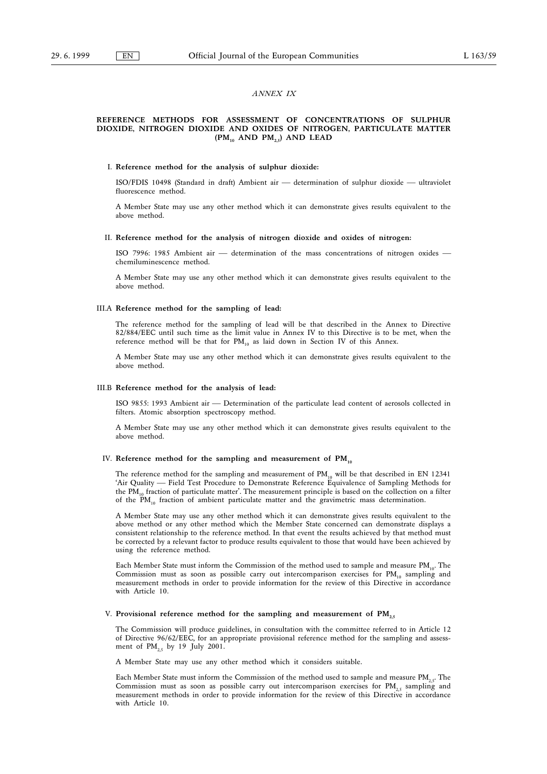#### *ANNEX IX*

### **REFERENCE METHODS FOR ASSESSMENT OF CONCENTRATIONS OF SULPHUR DIOXIDE, NITROGEN DIOXIDE AND OXIDES OF NITROGEN, PARTICULATE MATTER** (PM<sub>10</sub> AND PM<sub>25</sub>) AND LEAD

#### I. **Reference method for the analysis of sulphur dioxide:**

ISO/FDIS 10498 (Standard in draft) Ambient air determination of sulphur dioxide ultraviolet fluorescence method.

A Member State may use any other method which it can demonstrate gives results equivalent to the above method.

## II. **Reference method for the analysis of nitrogen dioxide and oxides of nitrogen:**

ISO 7996: 1985 Ambient air  $-$  determination of the mass concentrations of nitrogen oxides  $$ chemiluminescence method.

A Member State may use any other method which it can demonstrate gives results equivalent to the above method.

### III.A **Reference method for the sampling of lead:**

The reference method for the sampling of lead will be that described in the Annex to Directive 82/884/EEC until such time as the limit value in Annex IV to this Directive is to be met, when the reference method will be that for  $PM_{10}$  as laid down in Section IV of this Annex.

A Member State may use any other method which it can demonstrate gives results equivalent to the above method.

### III.B **Reference method for the analysis of lead:**

ISO 9855: 1993 Ambient air Determination of the particulate lead content of aerosols collected in filters. Atomic absorption spectroscopy method.

A Member State may use any other method which it can demonstrate gives results equivalent to the above method.

#### IV. Reference method for the sampling and measurement of PM<sub>10</sub>

The reference method for the sampling and measurement of  $PM_{10}$  will be that described in EN 12341<br>'Air Quality — Field Test Procedure to Demonstrate Reference Equivalence of Sampling Methods for the  $PM_{10}$  fraction of particulate matter'. The measurement principle is based on the collection on a filter of the  $\overline{P}M_{10}$  fraction of ambient particulate matter and the gravimetric mass determination.

A Member State may use any other method which it can demonstrate gives results equivalent to the above method or any other method which the Member State concerned can demonstrate displays a consistent relationship to the reference method. In that event the results achieved by that method must be corrected by a relevant factor to produce results equivalent to those that would have been achieved by using the reference method.

Each Member State must inform the Commission of the method used to sample and measure  $PM_{10}$ . The Commission must as soon as possible carry out intercomparison exercises for  $PM_{10}$  sampling and measurement methods in order to provide information for the review of this Directive in accordance with Article 10.

#### V. Provisional reference method for the sampling and measurement of  $PM_{15}$

The Commission will produce guidelines, in consultation with the committee referred to in Article 12 of Directive 96/62/EEC, for an appropriate provisional reference method for the sampling and assessment of  $PM_{2,5}$  by 19 July 2001.

A Member State may use any other method which it considers suitable.

Each Member State must inform the Commission of the method used to sample and measure  $PM_{25}$ . The Commission must as soon as possible carry out intercomparison exercises for  $PM_{2,5}$  sampling and measurement methods in order to provide information for the review of this Directive in accordance with Article 10.